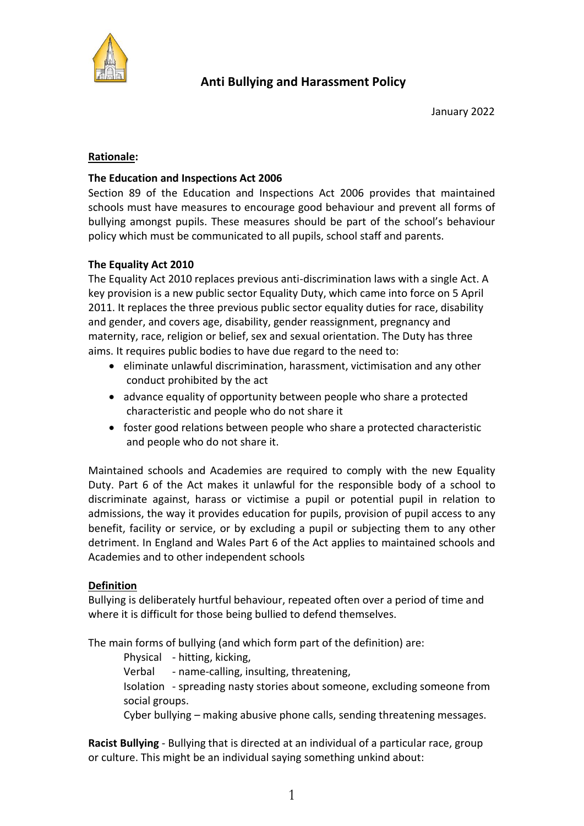

# **Rationale:**

## **The Education and Inspections Act 2006**

Section 89 of the Education and Inspections Act 2006 provides that maintained schools must have measures to encourage good behaviour and prevent all forms of bullying amongst pupils. These measures should be part of the school's behaviour policy which must be communicated to all pupils, school staff and parents.

## **The Equality Act 2010**

The Equality Act 2010 replaces previous anti-discrimination laws with a single Act. A key provision is a new public sector Equality Duty, which came into force on 5 April 2011. It replaces the three previous public sector equality duties for race, disability and gender, and covers age, disability, gender reassignment, pregnancy and maternity, race, religion or belief, sex and sexual orientation. The Duty has three aims. It requires public bodies to have due regard to the need to:

- eliminate unlawful discrimination, harassment, victimisation and any other conduct prohibited by the act
- advance equality of opportunity between people who share a protected characteristic and people who do not share it
- foster good relations between people who share a protected characteristic and people who do not share it.

Maintained schools and Academies are required to comply with the new Equality Duty. Part 6 of the Act makes it unlawful for the responsible body of a school to discriminate against, harass or victimise a pupil or potential pupil in relation to admissions, the way it provides education for pupils, provision of pupil access to any benefit, facility or service, or by excluding a pupil or subjecting them to any other detriment. In England and Wales Part 6 of the Act applies to maintained schools and Academies and to other independent schools

## **Definition**

Bullying is deliberately hurtful behaviour, repeated often over a period of time and where it is difficult for those being bullied to defend themselves.

The main forms of bullying (and which form part of the definition) are:

Physical - hitting, kicking,

Verbal - name-calling, insulting, threatening,

Isolation - spreading nasty stories about someone, excluding someone from social groups.

Cyber bullying – making abusive phone calls, sending threatening messages.

**Racist Bullying** - Bullying that is directed at an individual of a particular race, group or culture. This might be an individual saying something unkind about: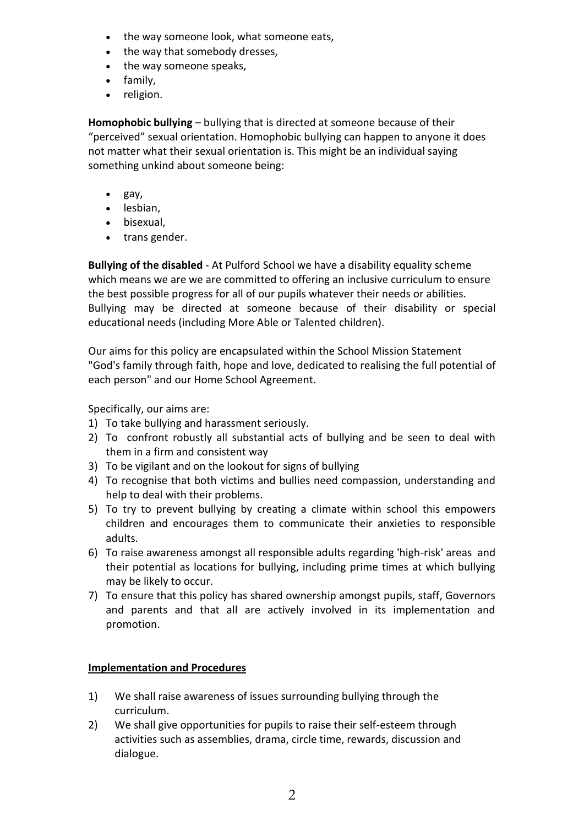- the way someone look, what someone eats,
- the way that somebody dresses,
- the way someone speaks,
- family,
- religion.

**Homophobic bullying** – bullying that is directed at someone because of their "perceived" sexual orientation. Homophobic bullying can happen to anyone it does not matter what their sexual orientation is. This might be an individual saying something unkind about someone being:

- gay,
- lesbian,
- bisexual,
- trans gender.

**Bullying of the disabled** - At Pulford School we have a disability equality scheme which means we are we are committed to offering an inclusive curriculum to ensure the best possible progress for all of our pupils whatever their needs or abilities. Bullying may be directed at someone because of their disability or special educational needs (including More Able or Talented children).

Our aims for this policy are encapsulated within the School Mission Statement "God's family through faith, hope and love, dedicated to realising the full potential of each person" and our Home School Agreement.

Specifically, our aims are:

- 1) To take bullying and harassment seriously.
- 2) To confront robustly all substantial acts of bullying and be seen to deal with them in a firm and consistent way
- 3) To be vigilant and on the lookout for signs of bullying
- 4) To recognise that both victims and bullies need compassion, understanding and help to deal with their problems.
- 5) To try to prevent bullying by creating a climate within school this empowers children and encourages them to communicate their anxieties to responsible adults.
- 6) To raise awareness amongst all responsible adults regarding 'high-risk' areas and their potential as locations for bullying, including prime times at which bullying may be likely to occur.
- 7) To ensure that this policy has shared ownership amongst pupils, staff, Governors and parents and that all are actively involved in its implementation and promotion.

## **Implementation and Procedures**

- 1) We shall raise awareness of issues surrounding bullying through the curriculum.
- 2) We shall give opportunities for pupils to raise their self-esteem through activities such as assemblies, drama, circle time, rewards, discussion and dialogue.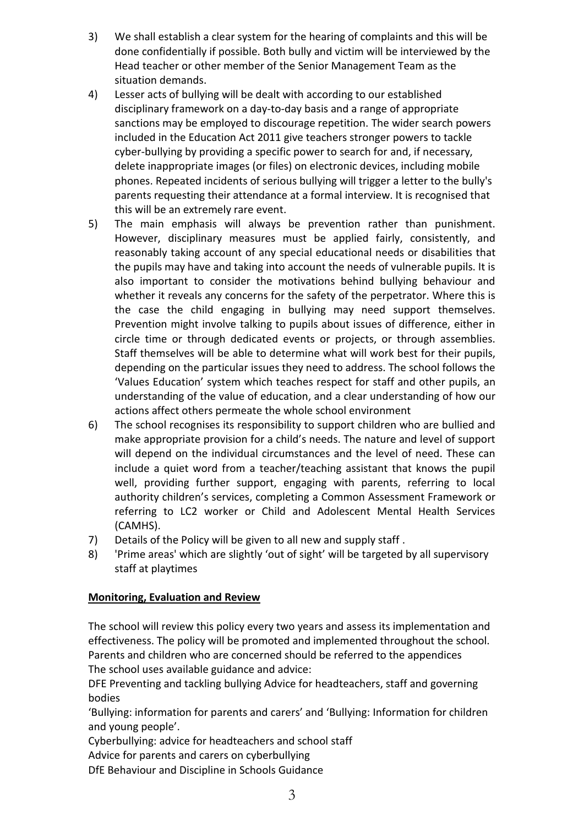- 3) We shall establish a clear system for the hearing of complaints and this will be done confidentially if possible. Both bully and victim will be interviewed by the Head teacher or other member of the Senior Management Team as the situation demands.
- 4) Lesser acts of bullying will be dealt with according to our established disciplinary framework on a day-to-day basis and a range of appropriate sanctions may be employed to discourage repetition. The wider search powers included in the Education Act 2011 give teachers stronger powers to tackle cyber-bullying by providing a specific power to search for and, if necessary, delete inappropriate images (or files) on electronic devices, including mobile phones. Repeated incidents of serious bullying will trigger a letter to the bully's parents requesting their attendance at a formal interview. It is recognised that this will be an extremely rare event.
- 5) The main emphasis will always be prevention rather than punishment. However, disciplinary measures must be applied fairly, consistently, and reasonably taking account of any special educational needs or disabilities that the pupils may have and taking into account the needs of vulnerable pupils. It is also important to consider the motivations behind bullying behaviour and whether it reveals any concerns for the safety of the perpetrator. Where this is the case the child engaging in bullying may need support themselves. Prevention might involve talking to pupils about issues of difference, either in circle time or through dedicated events or projects, or through assemblies. Staff themselves will be able to determine what will work best for their pupils, depending on the particular issues they need to address. The school follows the 'Values Education' system which teaches respect for staff and other pupils, an understanding of the value of education, and a clear understanding of how our actions affect others permeate the whole school environment
- 6) The school recognises its responsibility to support children who are bullied and make appropriate provision for a child's needs. The nature and level of support will depend on the individual circumstances and the level of need. These can include a quiet word from a teacher/teaching assistant that knows the pupil well, providing further support, engaging with parents, referring to local authority children's services, completing a Common Assessment Framework or referring to LC2 worker or Child and Adolescent Mental Health Services (CAMHS).
- 7) Details of the Policy will be given to all new and supply staff .
- 8) 'Prime areas' which are slightly 'out of sight' will be targeted by all supervisory staff at playtimes

## **Monitoring, Evaluation and Review**

The school will review this policy every two years and assess its implementation and effectiveness. The policy will be promoted and implemented throughout the school. Parents and children who are concerned should be referred to the appendices The school uses available guidance and advice:

DFE Preventing and tackling bullying Advice for headteachers, staff and governing bodies

'Bullying: information for parents and carers' and 'Bullying: Information for children and young people'.

Cyberbullying: advice for headteachers and school staff

Advice for parents and carers on cyberbullying

DfE Behaviour and Discipline in Schools Guidance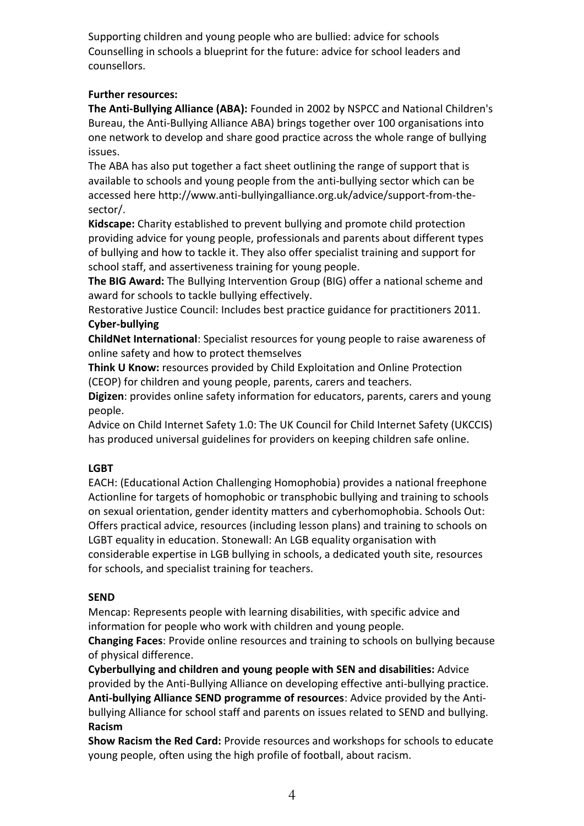Supporting children and young people who are bullied: advice for schools Counselling in schools a blueprint for the future: advice for school leaders and counsellors.

## **Further resources:**

**The Anti-Bullying Alliance (ABA):** Founded in 2002 by NSPCC and National Children's Bureau, the Anti-Bullying Alliance ABA) brings together over 100 organisations into one network to develop and share good practice across the whole range of bullying issues.

The ABA has also put together a fact sheet outlining the range of support that is available to schools and young people from the anti-bullying sector which can be accessed here http://www.anti-bullyingalliance.org.uk/advice/support-from-thesector/.

**Kidscape:** Charity established to prevent bullying and promote child protection providing advice for young people, professionals and parents about different types of bullying and how to tackle it. They also offer specialist training and support for school staff, and assertiveness training for young people.

**The BIG Award:** The Bullying Intervention Group (BIG) offer a national scheme and award for schools to tackle bullying effectively.

Restorative Justice Council: Includes best practice guidance for practitioners 2011. **Cyber-bullying** 

**ChildNet International**: Specialist resources for young people to raise awareness of online safety and how to protect themselves

**Think U Know:** resources provided by Child Exploitation and Online Protection (CEOP) for children and young people, parents, carers and teachers.

**Digizen**: provides online safety information for educators, parents, carers and young people.

Advice on Child Internet Safety 1.0: The UK Council for Child Internet Safety (UKCCIS) has produced universal guidelines for providers on keeping children safe online.

## **LGBT**

EACH: (Educational Action Challenging Homophobia) provides a national freephone Actionline for targets of homophobic or transphobic bullying and training to schools on sexual orientation, gender identity matters and cyberhomophobia. Schools Out: Offers practical advice, resources (including lesson plans) and training to schools on LGBT equality in education. Stonewall: An LGB equality organisation with considerable expertise in LGB bullying in schools, a dedicated youth site, resources for schools, and specialist training for teachers.

## **SEND**

Mencap: Represents people with learning disabilities, with specific advice and information for people who work with children and young people.

**Changing Faces**: Provide online resources and training to schools on bullying because of physical difference.

**Cyberbullying and children and young people with SEN and disabilities:** Advice provided by the Anti-Bullying Alliance on developing effective anti-bullying practice. **Anti-bullying Alliance SEND programme of resources**: Advice provided by the Antibullying Alliance for school staff and parents on issues related to SEND and bullying. **Racism** 

**Show Racism the Red Card:** Provide resources and workshops for schools to educate young people, often using the high profile of football, about racism.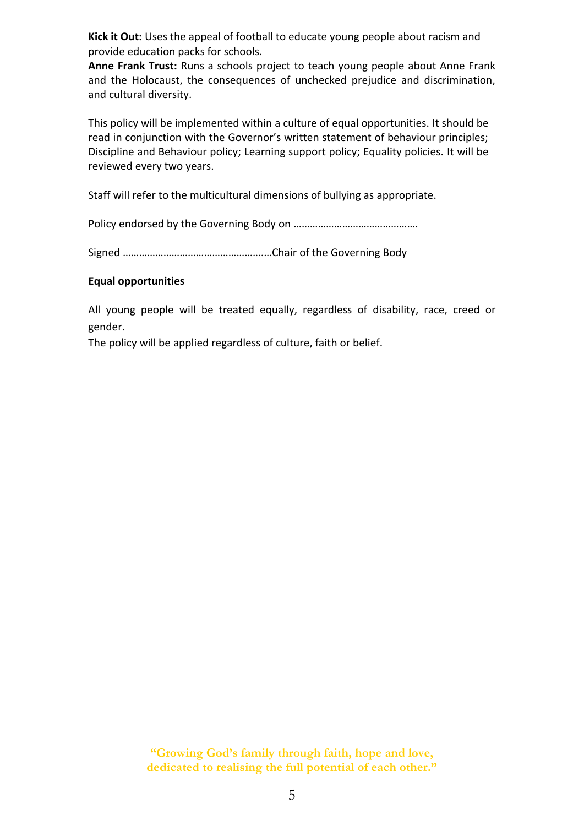**Kick it Out:** Uses the appeal of football to educate young people about racism and provide education packs for schools.

**Anne Frank Trust:** Runs a schools project to teach young people about Anne Frank and the Holocaust, the consequences of unchecked prejudice and discrimination, and cultural diversity.

This policy will be implemented within a culture of equal opportunities. It should be read in conjunction with the Governor's written statement of behaviour principles; Discipline and Behaviour policy; Learning support policy; Equality policies. It will be reviewed every two years.

Staff will refer to the multicultural dimensions of bullying as appropriate.

Policy endorsed by the Governing Body on ……………………………………….

Signed …………………………………………….…Chair of the Governing Body

### **Equal opportunities**

All young people will be treated equally, regardless of disability, race, creed or gender.

The policy will be applied regardless of culture, faith or belief.

**"Growing God's family through faith, hope and love, dedicated to realising the full potential of each other."**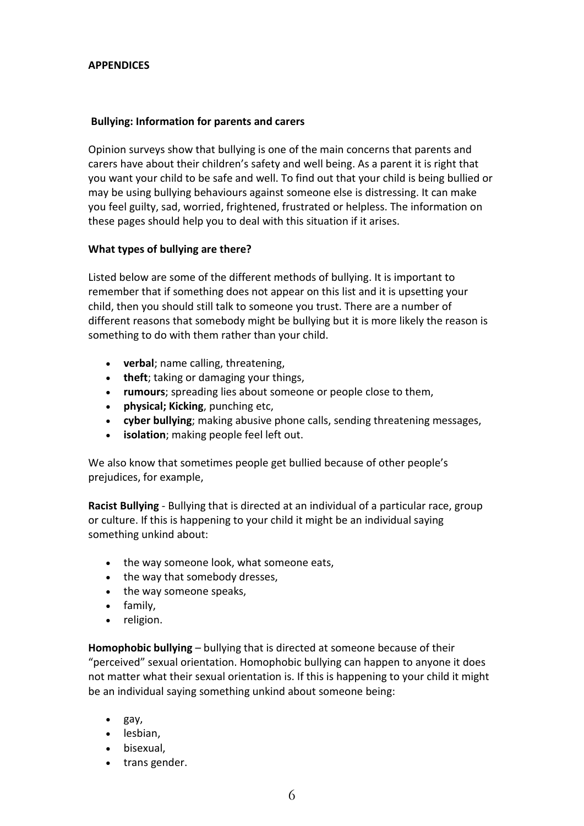### **APPENDICES**

### **Bullying: Information for parents and carers**

Opinion surveys show that bullying is one of the main concerns that parents and carers have about their children's safety and well being. As a parent it is right that you want your child to be safe and well. To find out that your child is being bullied or may be using bullying behaviours against someone else is distressing. It can make you feel guilty, sad, worried, frightened, frustrated or helpless. The information on these pages should help you to deal with this situation if it arises.

### **What types of bullying are there?**

Listed below are some of the different methods of bullying. It is important to remember that if something does not appear on this list and it is upsetting your child, then you should still talk to someone you trust. There are a number of different reasons that somebody might be bullying but it is more likely the reason is something to do with them rather than your child.

- **verbal**; name calling, threatening,
- **theft**; taking or damaging your things,
- **rumours**; spreading lies about someone or people close to them,
- **physical; Kicking**, punching etc,
- **cyber bullying**; making abusive phone calls, sending threatening messages,
- **isolation**; making people feel left out.

We also know that sometimes people get bullied because of other people's prejudices, for example,

**Racist Bullying** - Bullying that is directed at an individual of a particular race, group or culture. If this is happening to your child it might be an individual saying something unkind about:

- the way someone look, what someone eats,
- the way that somebody dresses,
- the way someone speaks,
- family,
- religion.

**Homophobic bullying** – bullying that is directed at someone because of their "perceived" sexual orientation. Homophobic bullying can happen to anyone it does not matter what their sexual orientation is. If this is happening to your child it might be an individual saying something unkind about someone being:

- gay,
- lesbian,
- bisexual,
- trans gender.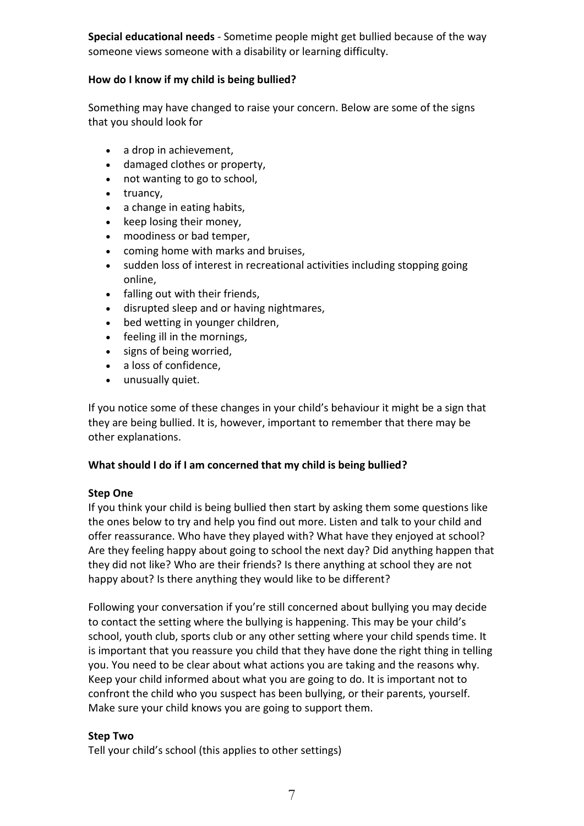**Special educational needs** - Sometime people might get bullied because of the way someone views someone with a disability or learning difficulty.

### **How do I know if my child is being bullied?**

Something may have changed to raise your concern. Below are some of the signs that you should look for

- a drop in achievement,
- damaged clothes or property,
- not wanting to go to school,
- truancy,
- a change in eating habits,
- keep losing their money,
- moodiness or bad temper,
- coming home with marks and bruises,
- sudden loss of interest in recreational activities including stopping going online,
- falling out with their friends,
- disrupted sleep and or having nightmares,
- bed wetting in younger children,
- feeling ill in the mornings,
- signs of being worried,
- a loss of confidence,
- unusually quiet.

If you notice some of these changes in your child's behaviour it might be a sign that they are being bullied. It is, however, important to remember that there may be other explanations.

### **What should I do if I am concerned that my child is being bullied?**

### **Step One**

If you think your child is being bullied then start by asking them some questions like the ones below to try and help you find out more. Listen and talk to your child and offer reassurance. Who have they played with? What have they enjoyed at school? Are they feeling happy about going to school the next day? Did anything happen that they did not like? Who are their friends? Is there anything at school they are not happy about? Is there anything they would like to be different?

Following your conversation if you're still concerned about bullying you may decide to contact the setting where the bullying is happening. This may be your child's school, youth club, sports club or any other setting where your child spends time. It is important that you reassure you child that they have done the right thing in telling you. You need to be clear about what actions you are taking and the reasons why. Keep your child informed about what you are going to do. It is important not to confront the child who you suspect has been bullying, or their parents, yourself. Make sure your child knows you are going to support them.

### **Step Two**

Tell your child's school (this applies to other settings)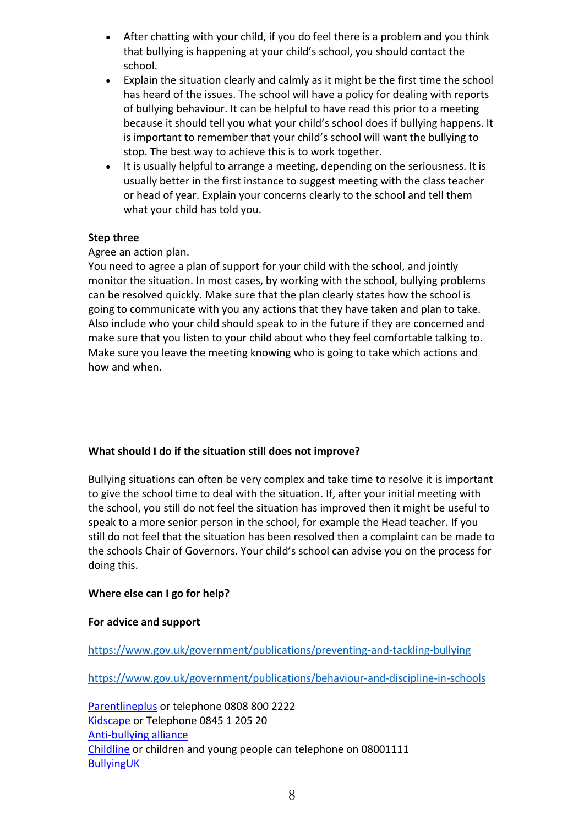- After chatting with your child, if you do feel there is a problem and you think that bullying is happening at your child's school, you should contact the school.
- Explain the situation clearly and calmly as it might be the first time the school has heard of the issues. The school will have a policy for dealing with reports of bullying behaviour. It can be helpful to have read this prior to a meeting because it should tell you what your child's school does if bullying happens. It is important to remember that your child's school will want the bullying to stop. The best way to achieve this is to work together.
- It is usually helpful to arrange a meeting, depending on the seriousness. It is usually better in the first instance to suggest meeting with the class teacher or head of year. Explain your concerns clearly to the school and tell them what your child has told you.

### **Step three**

### Agree an action plan.

You need to agree a plan of support for your child with the school, and jointly monitor the situation. In most cases, by working with the school, bullying problems can be resolved quickly. Make sure that the plan clearly states how the school is going to communicate with you any actions that they have taken and plan to take. Also include who your child should speak to in the future if they are concerned and make sure that you listen to your child about who they feel comfortable talking to. Make sure you leave the meeting knowing who is going to take which actions and how and when.

## **What should I do if the situation still does not improve?**

Bullying situations can often be very complex and take time to resolve it is important to give the school time to deal with the situation. If, after your initial meeting with the school, you still do not feel the situation has improved then it might be useful to speak to a more senior person in the school, for example the Head teacher. If you still do not feel that the situation has been resolved then a complaint can be made to the schools Chair of Governors. Your child's school can advise you on the process for doing this.

## **Where else can I go for help?**

### **For advice and support**

<https://www.gov.uk/government/publications/preventing-and-tackling-bullying>

<https://www.gov.uk/government/publications/behaviour-and-discipline-in-schools>

[Parentlineplus](http://www.centralbedfordshire.gov.uk/_assist/refer.aspx?fwdUrl=http://www.parentlineplus.org.uk/) or telephone 0808 800 2222 [Kidscape](http://www.centralbedfordshire.gov.uk/_assist/refer.aspx?fwdUrl=http://www.kidscape.org.uk/) or Telephone 0845 1 205 20 [Anti-bullying alliance](http://www.centralbedfordshire.gov.uk/_assist/refer.aspx?fwdUrl=http://www.anti-bullyingalliance.org.uk/) [Childline](http://www.centralbedfordshire.gov.uk/_assist/refer.aspx?fwdUrl=http://www.childline.org.uk/) or children and young people can telephone on 08001111 [BullyingUK](http://www.centralbedfordshire.gov.uk/_assist/refer.aspx?fwdUrl=http://www.bullying.co.uk/)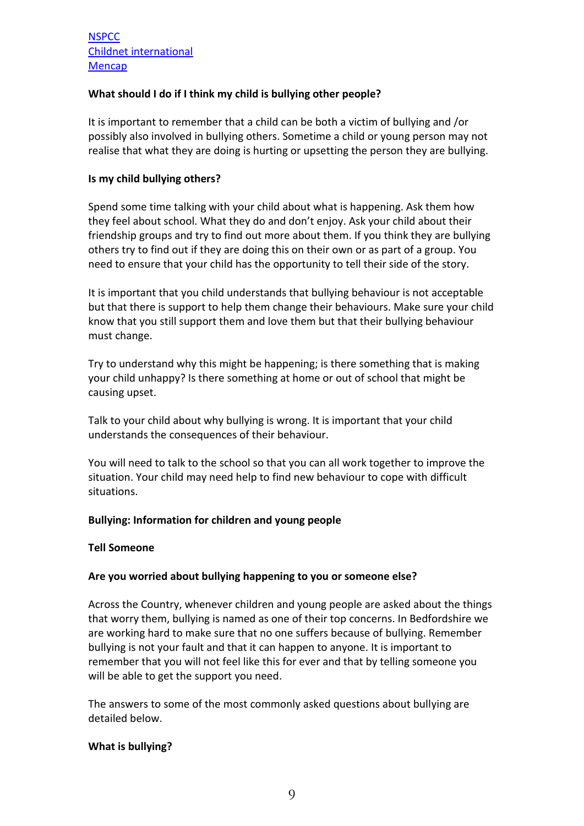## **What should I do if I think my child is bullying other people?**

It is important to remember that a child can be both a victim of bullying and /or possibly also involved in bullying others. Sometime a child or young person may not realise that what they are doing is hurting or upsetting the person they are bullying.

### **Is my child bullying others?**

Spend some time talking with your child about what is happening. Ask them how they feel about school. What they do and don't enjoy. Ask your child about their friendship groups and try to find out more about them. If you think they are bullying others try to find out if they are doing this on their own or as part of a group. You need to ensure that your child has the opportunity to tell their side of the story.

It is important that you child understands that bullying behaviour is not acceptable but that there is support to help them change their behaviours. Make sure your child know that you still support them and love them but that their bullying behaviour must change.

Try to understand why this might be happening; is there something that is making your child unhappy? Is there something at home or out of school that might be causing upset.

Talk to your child about why bullying is wrong. It is important that your child understands the consequences of their behaviour.

You will need to talk to the school so that you can all work together to improve the situation. Your child may need help to find new behaviour to cope with difficult situations.

### **Bullying: Information for children and young people**

### **Tell Someone**

### **Are you worried about bullying happening to you or someone else?**

Across the Country, whenever children and young people are asked about the things that worry them, bullying is named as one of their top concerns. In Bedfordshire we are working hard to make sure that no one suffers because of bullying. Remember bullying is not your fault and that it can happen to anyone. It is important to remember that you will not feel like this for ever and that by telling someone you will be able to get the support you need.

The answers to some of the most commonly asked questions about bullying are detailed below.

### **What is bullying?**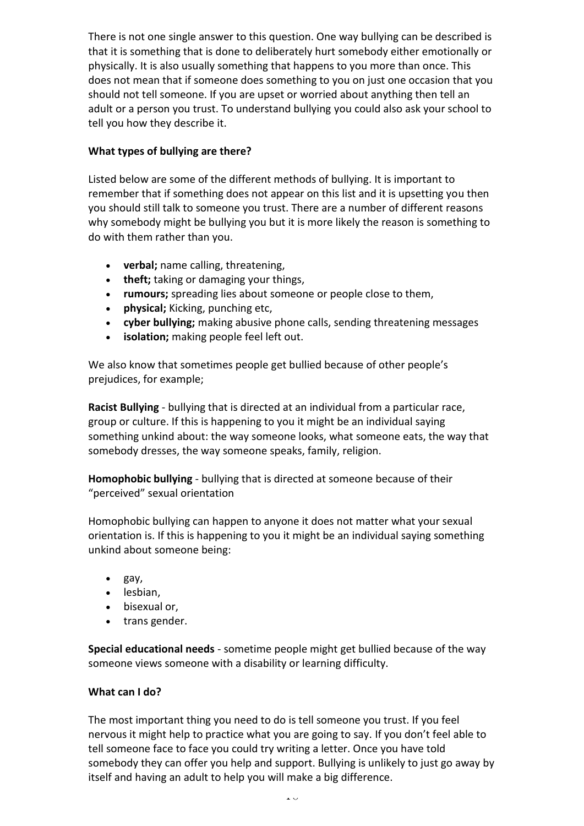There is not one single answer to this question. One way bullying can be described is that it is something that is done to deliberately hurt somebody either emotionally or physically. It is also usually something that happens to you more than once. This does not mean that if someone does something to you on just one occasion that you should not tell someone. If you are upset or worried about anything then tell an adult or a person you trust. To understand bullying you could also ask your school to tell you how they describe it.

## **What types of bullying are there?**

Listed below are some of the different methods of bullying. It is important to remember that if something does not appear on this list and it is upsetting you then you should still talk to someone you trust. There are a number of different reasons why somebody might be bullying you but it is more likely the reason is something to do with them rather than you.

- **verbal;** name calling, threatening,
- **theft;** taking or damaging your things,
- **rumours;** spreading lies about someone or people close to them,
- **physical;** Kicking, punching etc,
- **cyber bullying;** making abusive phone calls, sending threatening messages
- **isolation;** making people feel left out.

We also know that sometimes people get bullied because of other people's prejudices, for example;

**Racist Bullying** - bullying that is directed at an individual from a particular race, group or culture. If this is happening to you it might be an individual saying something unkind about: the way someone looks, what someone eats, the way that somebody dresses, the way someone speaks, family, religion.

**Homophobic bullying** - bullying that is directed at someone because of their "perceived" sexual orientation

Homophobic bullying can happen to anyone it does not matter what your sexual orientation is. If this is happening to you it might be an individual saying something unkind about someone being:

- gay,
- lesbian,
- bisexual or,
- trans gender.

**Special educational needs** - sometime people might get bullied because of the way someone views someone with a disability or learning difficulty.

## **What can I do?**

The most important thing you need to do is tell someone you trust. If you feel nervous it might help to practice what you are going to say. If you don't feel able to tell someone face to face you could try writing a letter. Once you have told somebody they can offer you help and support. Bullying is unlikely to just go away by itself and having an adult to help you will make a big difference.